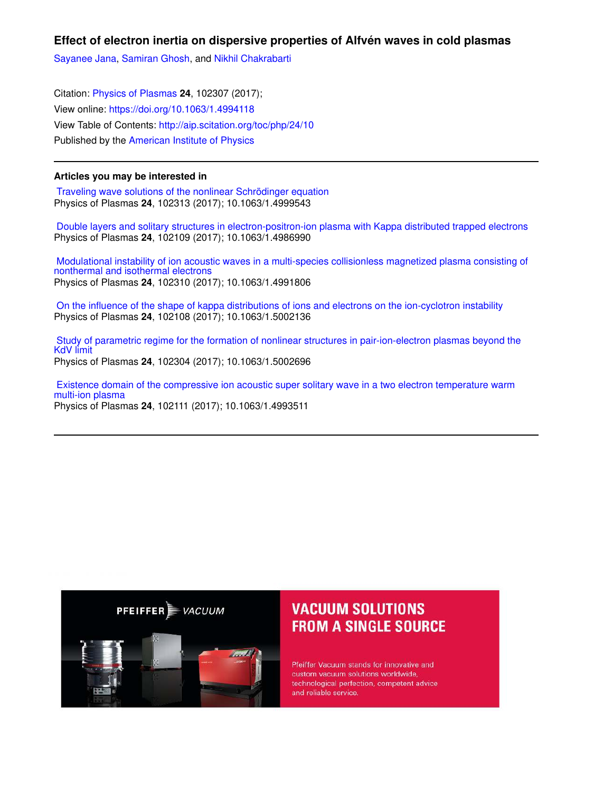**Effect of electron inertia on dispersive properties of Alfvén waves in cold plasmas**

Sayanee Jana, Samiran Ghosh, and Nikhil Chakrabarti

Citation: Physics of Plasmas **24**, 102307 (2017); View online: https://doi.org/10.1063/1.4994118 View Table of Contents: http://aip.scitation.org/toc/php/24/10 Published by the American Institute of Physics

# **Articles you may be interested in**

 Traveling wave solutions of the nonlinear Schrödinger equation Physics of Plasmas **24**, 102313 (2017); 10.1063/1.4999543

 Double layers and solitary structures in electron-positron-ion plasma with Kappa distributed trapped electrons Physics of Plasmas **24**, 102109 (2017); 10.1063/1.4986990

 Modulational instability of ion acoustic waves in a multi-species collisionless magnetized plasma consisting of nonthermal and isothermal electrons Physics of Plasmas **24**, 102310 (2017); 10.1063/1.4991806

 On the influence of the shape of kappa distributions of ions and electrons on the ion-cyclotron instability Physics of Plasmas **24**, 102108 (2017); 10.1063/1.5002136

 Study of parametric regime for the formation of nonlinear structures in pair-ion-electron plasmas beyond the KdV limit Physics of Plasmas **24**, 102304 (2017); 10.1063/1.5002696

 Existence domain of the compressive ion acoustic super solitary wave in a two electron temperature warm multi-ion plasma Physics of Plasmas **24**, 102111 (2017); 10.1063/1.4993511



# **VACUUM SOLUTIONS FROM A SINGLE SOURCE**

Pfeiffer Vacuum stands for innovative and custom vacuum solutions worldwide, technological perfection, competent advice and reliable service.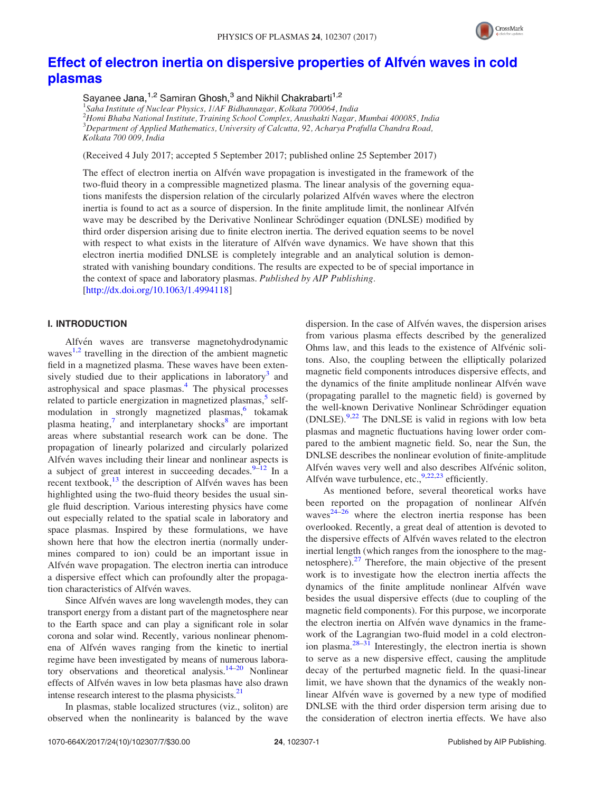

# Effect of electron inertia on dispersive properties of Alfvén waves in cold plasmas

Sayanee Jana,<sup>1,2</sup> Samiran Ghosh,<sup>3</sup> and Nikhil Chakrabarti<sup>1,2</sup>

<sup>1</sup>Saha Institute of Nuclear Physics, 1/AF Bidhannagar, Kolkata 700064, India  $^{2}$ Homi Bhaba National Institute, Training School Complex, Anushakti Nagar, Mumbai 400085, India <sup>3</sup>Department of Applied Mathematics, University of Calcutta, 92, Acharya Prafulla Chandra Road, Kolkata 700 009, India

(Received 4 July 2017; accepted 5 September 2017; published online 25 September 2017)

The effect of electron inertia on Alfvén wave propagation is investigated in the framework of the two-fluid theory in a compressible magnetized plasma. The linear analysis of the governing equations manifests the dispersion relation of the circularly polarized Alfvén waves where the electron inertia is found to act as a source of dispersion. In the finite amplitude limit, the nonlinear Alfvén wave may be described by the Derivative Nonlinear Schrödinger equation (DNLSE) modified by third order dispersion arising due to finite electron inertia. The derived equation seems to be novel with respect to what exists in the literature of Alfvén wave dynamics. We have shown that this electron inertia modified DNLSE is completely integrable and an analytical solution is demonstrated with vanishing boundary conditions. The results are expected to be of special importance in the context of space and laboratory plasmas. Published by AIP Publishing. [http://dx.doi.org/10.1063/1.4994118]

### I. INTRODUCTION

Alfvén waves are transverse magnetohydrodynamic waves<sup>1,2</sup> travelling in the direction of the ambient magnetic field in a magnetized plasma. These waves have been extensively studied due to their applications in laboratory<sup>3</sup> and astrophysical and space plasmas.<sup>4</sup> The physical processes related to particle energization in magnetized plasmas,<sup>5</sup> selfmodulation in strongly magnetized plasmas,<sup>6</sup> tokamak plasma heating,<sup>7</sup> and interplanetary shocks<sup>8</sup> are important areas where substantial research work can be done. The propagation of linearly polarized and circularly polarized Alfvén waves including their linear and nonlinear aspects is a subject of great interest in succeeding decades.  $9-12$  In a recent textbook,<sup>13</sup> the description of Alfvén waves has been highlighted using the two-fluid theory besides the usual single fluid description. Various interesting physics have come out especially related to the spatial scale in laboratory and space plasmas. Inspired by these formulations, we have shown here that how the electron inertia (normally undermines compared to ion) could be an important issue in Alfvén wave propagation. The electron inertia can introduce a dispersive effect which can profoundly alter the propagation characteristics of Alfvén waves.

Since Alfvén waves are long wavelength modes, they can transport energy from a distant part of the magnetosphere near to the Earth space and can play a significant role in solar corona and solar wind. Recently, various nonlinear phenomena of Alfvén waves ranging from the kinetic to inertial regime have been investigated by means of numerous laboratory observations and theoretical analysis.<sup>14–20</sup> Nonlinear effects of Alfvén waves in low beta plasmas have also drawn intense research interest to the plasma physicists.<sup>21</sup>

In plasmas, stable localized structures (viz., soliton) are observed when the nonlinearity is balanced by the wave

dispersion. In the case of Alfvén waves, the dispersion arises from various plasma effects described by the generalized Ohms law, and this leads to the existence of Alfvénic solitons. Also, the coupling between the elliptically polarized magnetic field components introduces dispersive effects, and the dynamics of the finite amplitude nonlinear Alfvén wave (propagating parallel to the magnetic field) is governed by the well-known Derivative Nonlinear Schrödinger equation  $(DNLSE)$ <sup>9,22</sup> The DNLSE is valid in regions with low beta plasmas and magnetic fluctuations having lower order compared to the ambient magnetic field. So, near the Sun, the DNLSE describes the nonlinear evolution of finite-amplitude Alfvén waves very well and also describes Alfvénic soliton, Alfvén wave turbulence, etc.,<sup>9,22,23</sup> efficiently.

As mentioned before, several theoretical works have been reported on the propagation of nonlinear Alfvén waves $24-26$  where the electron inertia response has been overlooked. Recently, a great deal of attention is devoted to the dispersive effects of Alfvén waves related to the electron inertial length (which ranges from the ionosphere to the magnetosphere). $27$  Therefore, the main objective of the present work is to investigate how the electron inertia affects the dynamics of the finite amplitude nonlinear Alfvén wave besides the usual dispersive effects (due to coupling of the magnetic field components). For this purpose, we incorporate the electron inertia on Alfvén wave dynamics in the framework of the Lagrangian two-fluid model in a cold electronion plasma. $28-31$  Interestingly, the electron inertia is shown to serve as a new dispersive effect, causing the amplitude decay of the perturbed magnetic field. In the quasi-linear limit, we have shown that the dynamics of the weakly nonlinear Alfvén wave is governed by a new type of modified DNLSE with the third order dispersion term arising due to the consideration of electron inertia effects. We have also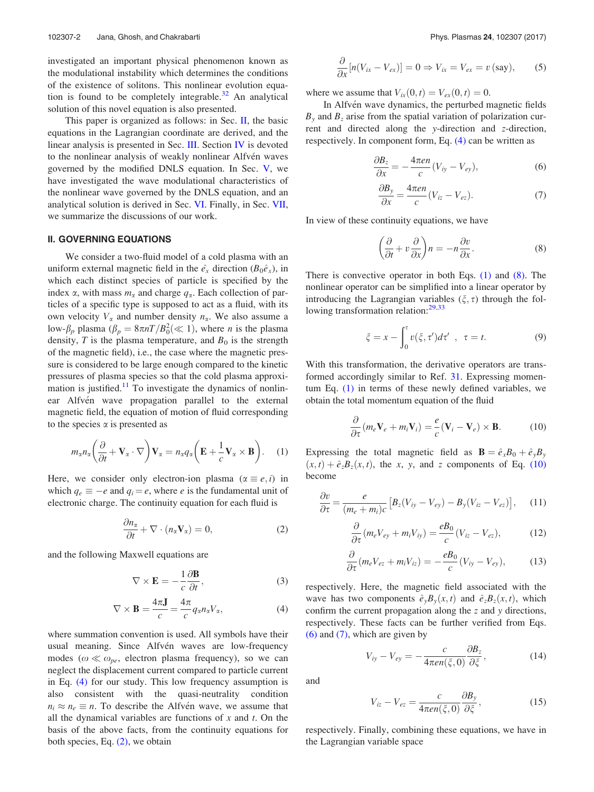investigated an important physical phenomenon known as the modulational instability which determines the conditions of the existence of solitons. This nonlinear evolution equation is found to be completely integrable.<sup>32</sup> An analytical solution of this novel equation is also presented.

This paper is organized as follows: in Sec. II, the basic equations in the Lagrangian coordinate are derived, and the linear analysis is presented in Sec. III. Section IV is devoted to the nonlinear analysis of weakly nonlinear Alfvén waves governed by the modified DNLS equation. In Sec. V, we have investigated the wave modulational characteristics of the nonlinear wave governed by the DNLS equation, and an analytical solution is derived in Sec. VI. Finally, in Sec. VII, we summarize the discussions of our work.

# II. GOVERNING EQUATIONS

We consider a two-fluid model of a cold plasma with an uniform external magnetic field in the  $\hat{e}_x$  direction ( $B_0\hat{e}_x$ ), in which each distinct species of particle is specified by the index  $\alpha$ , with mass  $m_{\alpha}$  and charge  $q_{\alpha}$ . Each collection of particles of a specific type is supposed to act as a fluid, with its own velocity  $V_{\alpha}$  and number density  $n_{\alpha}$ . We also assume a low- $\beta_p$  plasma  $(\beta_p = 8\pi nT/B_0^2 \ll 1)$ , where *n* is the plasma density, T is the plasma temperature, and  $B_0$  is the strength of the magnetic field), i.e., the case where the magnetic pressure is considered to be large enough compared to the kinetic pressures of plasma species so that the cold plasma approximation is justified.<sup>11</sup> To investigate the dynamics of nonlinear Alfvén wave propagation parallel to the external magnetic field, the equation of motion of fluid corresponding to the species  $\alpha$  is presented as

$$
m_{\alpha}n_{\alpha}\left(\frac{\partial}{\partial t}+\mathbf{V}_{\alpha}\cdot\nabla\right)\mathbf{V}_{\alpha}=n_{\alpha}q_{\alpha}\left(\mathbf{E}+\frac{1}{c}\mathbf{V}_{\alpha}\times\mathbf{B}\right).
$$
 (1)

Here, we consider only electron-ion plasma  $(\alpha \equiv e, i)$  in which  $q_e \equiv -e$  and  $q_i = e$ , where e is the fundamental unit of electronic charge. The continuity equation for each fluid is

$$
\frac{\partial n_{\alpha}}{\partial t} + \nabla \cdot (n_{\alpha} \mathbf{V}_{\alpha}) = 0, \qquad (2)
$$

and the following Maxwell equations are

$$
\nabla \times \mathbf{E} = -\frac{1}{c} \frac{\partial \mathbf{B}}{\partial t},\tag{3}
$$

$$
\nabla \times \mathbf{B} = \frac{4\pi \mathbf{J}}{c} = \frac{4\pi}{c} q_{\alpha} n_{\alpha} V_{\alpha}, \tag{4}
$$

where summation convention is used. All symbols have their usual meaning. Since Alfvén waves are low-frequency modes ( $\omega \ll \omega_{pe}$ , electron plasma frequency), so we can neglect the displacement current compared to particle current in Eq. (4) for our study. This low frequency assumption is also consistent with the quasi-neutrality condition  $n_i \approx n_e \equiv n$ . To describe the Alfvén wave, we assume that all the dynamical variables are functions of  $x$  and  $t$ . On the basis of the above facts, from the continuity equations for both species, Eq. (2), we obtain

$$
\frac{\partial}{\partial x}[n(V_{ix}-V_{ex})]=0 \Rightarrow V_{ix}=V_{ex}=v \text{ (say)}, \quad (5)
$$

where we assume that  $V_{ix}(0, t) = V_{ex}(0, t) = 0$ .

In Alfvén wave dynamics, the perturbed magnetic fields  $B<sub>y</sub>$  and  $B<sub>z</sub>$  arise from the spatial variation of polarization current and directed along the y-direction and z-direction, respectively. In component form, Eq. (4) can be written as

$$
\frac{\partial B_z}{\partial x} = -\frac{4\pi en}{c} (V_{iy} - V_{ey}), \tag{6}
$$

$$
\frac{\partial B_y}{\partial x} = \frac{4\pi en}{c} (V_{iz} - V_{ez}).\tag{7}
$$

In view of these continuity equations, we have

$$
\left(\frac{\partial}{\partial t} + v\frac{\partial}{\partial x}\right)n = -n\frac{\partial v}{\partial x}.
$$
\n(8)

There is convective operator in both Eqs. (1) and (8). The nonlinear operator can be simplified into a linear operator by introducing the Lagrangian variables  $(\xi, \tau)$  through the following transformation relation:<sup>29,33</sup>

$$
\xi = x - \int_0^\tau v(\xi, \tau') d\tau' , \quad \tau = t. \tag{9}
$$

With this transformation, the derivative operators are transformed accordingly similar to Ref. 31. Expressing momentum Eq. (1) in terms of these newly defined variables, we obtain the total momentum equation of the fluid

$$
\frac{\partial}{\partial \tau} (m_e \mathbf{V}_e + m_i \mathbf{V}_i) = \frac{e}{c} (\mathbf{V}_i - \mathbf{V}_e) \times \mathbf{B}.
$$
 (10)

Expressing the total magnetic field as  $\mathbf{B} = \hat{e}_xB_0 + \hat{e}_yB_y$  $(x, t) + \hat{e}_z B_z(x, t)$ , the x, y, and z components of Eq. (10) become

$$
\frac{\partial v}{\partial \tau} = \frac{e}{(m_e + m_i)c} \left[ B_z (V_{iy} - V_{ey}) - B_y (V_{iz} - V_{ez}) \right], \quad (11)
$$

$$
\frac{\partial}{\partial \tau} (m_e V_{ey} + m_i V_{iy}) = \frac{e B_0}{c} (V_{iz} - V_{ez}), \tag{12}
$$

$$
\frac{\partial}{\partial \tau} (m_e V_{ez} + m_i V_{iz}) = -\frac{e B_0}{c} (V_{iy} - V_{ey}), \qquad (13)
$$

respectively. Here, the magnetic field associated with the wave has two components  $\hat{e}_yB_y(x, t)$  and  $\hat{e}_zB_z(x, t)$ , which confirm the current propagation along the z and y directions, respectively. These facts can be further verified from Eqs. (6) and (7), which are given by

$$
V_{iy} - V_{ey} = -\frac{c}{4\pi en(\xi,0)} \frac{\partial B_z}{\partial \xi},\tag{14}
$$

and

$$
V_{iz} - V_{ez} = \frac{c}{4\pi en(\xi, 0)} \frac{\partial B_y}{\partial \xi},\tag{15}
$$

respectively. Finally, combining these equations, we have in the Lagrangian variable space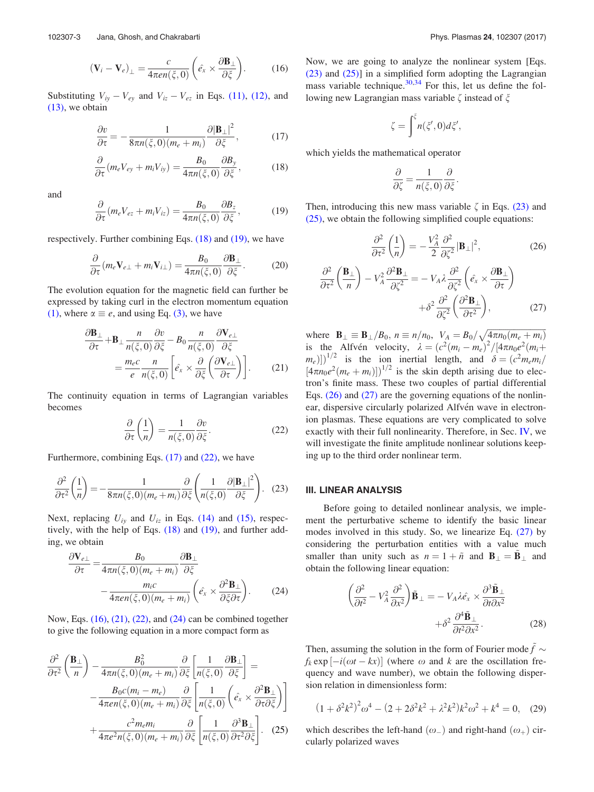$$
(\mathbf{V}_i - \mathbf{V}_e)_{\perp} = \frac{c}{4\pi en(\xi, 0)} \left( \hat{e}_x \times \frac{\partial \mathbf{B}_{\perp}}{\partial \xi} \right).
$$
 (16)

Substituting  $V_{iy} - V_{ey}$  and  $V_{iz} - V_{ez}$  in Eqs. (11), (12), and (13), we obtain

$$
\frac{\partial v}{\partial \tau} = -\frac{1}{8\pi n(\xi,0)(m_e + m_i)} \frac{\partial |\mathbf{B}_{\perp}|^2}{\partial \xi},\tag{17}
$$

$$
\frac{\partial}{\partial \tau} (m_e V_{ey} + m_i V_{iy}) = \frac{B_0}{4\pi n(\xi, 0)} \frac{\partial B_y}{\partial \xi},\tag{18}
$$

and

$$
\frac{\partial}{\partial \tau} (m_e V_{ez} + m_i V_{iz}) = \frac{B_0}{4\pi n(\xi, 0)} \frac{\partial B_z}{\partial \xi},\tag{19}
$$

respectively. Further combining Eqs. (18) and (19), we have

$$
\frac{\partial}{\partial \tau} (m_e \mathbf{V}_{e\perp} + m_i \mathbf{V}_{i\perp}) = \frac{B_0}{4\pi n(\xi, 0)} \frac{\partial \mathbf{B}_\perp}{\partial \xi}.
$$
 (20)

The evolution equation for the magnetic field can further be expressed by taking curl in the electron momentum equation (1), where  $\alpha \equiv e$ , and using Eq. (3), we have

$$
\frac{\partial \mathbf{B}_{\perp}}{\partial \tau} + \mathbf{B}_{\perp} \frac{n}{n(\xi, 0)} \frac{\partial v}{\partial \xi} - B_0 \frac{n}{n(\xi, 0)} \frac{\partial \mathbf{V}_{e\perp}}{\partial \xi}
$$

$$
= \frac{m_e c}{e} \frac{n}{n(\xi, 0)} \left[ \hat{e}_x \times \frac{\partial}{\partial \xi} \left( \frac{\partial \mathbf{V}_{e\perp}}{\partial \tau} \right) \right]. \tag{21}
$$

The continuity equation in terms of Lagrangian variables becomes

$$
\frac{\partial}{\partial \tau} \left( \frac{1}{n} \right) = \frac{1}{n(\xi, 0)} \frac{\partial v}{\partial \xi}.
$$
 (22)

Furthermore, combining Eqs.  $(17)$  and  $(22)$ , we have

$$
\frac{\partial^2}{\partial \tau^2} \left( \frac{1}{n} \right) = -\frac{1}{8\pi n(\xi, 0)(m_e + m_i)} \frac{\partial}{\partial \xi} \left( \frac{1}{n(\xi, 0)} \frac{\partial |\mathbf{B}_{\perp}|^2}{\partial \xi^2} \right). \tag{23}
$$

Next, replacing  $U_{iy}$  and  $U_{iz}$  in Eqs. (14) and (15), respectively, with the help of Eqs. (18) and (19), and further adding, we obtain

$$
\frac{\partial \mathbf{V}_{e\perp}}{\partial \tau} = \frac{B_0}{4\pi n(\xi, 0)(m_e + m_i)} \frac{\partial \mathbf{B}_{\perp}}{\partial \xi} - \frac{m_i c}{4\pi en(\xi, 0)(m_e + m_i)} \left(\hat{e}_x \times \frac{\partial^2 \mathbf{B}_{\perp}}{\partial \xi \partial \tau}\right).
$$
(24)

Now, Eqs. (16), (21), (22), and (24) can be combined together to give the following equation in a more compact form as

$$
\frac{\partial^2}{\partial \tau^2} \left( \frac{\mathbf{B}_{\perp}}{n} \right) - \frac{B_0^2}{4\pi n(\xi, 0)(m_e + m_i)} \frac{\partial}{\partial \xi} \left[ \frac{1}{n(\xi, 0)} \frac{\partial \mathbf{B}_{\perp}}{\partial \xi} \right] = \n- \frac{B_0 c(m_i - m_e)}{4\pi en(\xi, 0)(m_e + m_i)} \frac{\partial}{\partial \xi} \left[ \frac{1}{n(\xi, 0)} \left( \hat{e}_x \times \frac{\partial^2 \mathbf{B}_{\perp}}{\partial \tau \partial \xi} \right) \right] \n+ \frac{c^2 m_e m_i}{4\pi e^2 n(\xi, 0)(m_e + m_i)} \frac{\partial}{\partial \xi} \left[ \frac{1}{n(\xi, 0)} \frac{\partial^3 \mathbf{B}_{\perp}}{\partial \tau^2 \partial \xi} \right].
$$
 (25)

Now, we are going to analyze the nonlinear system [Eqs. (23) and (25)] in a simplified form adopting the Lagrangian mass variable technique. $30,34$  For this, let us define the following new Lagrangian mass variable  $\zeta$  instead of  $\xi$ 

$$
\zeta = \int_{0}^{\xi} n(\xi',0) d\xi',
$$

which yields the mathematical operator

$$
\frac{\partial}{\partial \zeta} = \frac{1}{n(\xi,0)} \frac{\partial}{\partial \xi}.
$$

Then, introducing this new mass variable  $\zeta$  in Eqs. (23) and (25), we obtain the following simplified couple equations:

$$
\frac{\partial^2}{\partial \tau^2} \left( \frac{1}{n} \right) = -\frac{V_A^2}{2} \frac{\partial^2}{\partial \zeta^2} |\mathbf{B}_{\perp}|^2, \tag{26}
$$
\n
$$
\frac{\partial^2}{\partial \tau^2} \left( \frac{\mathbf{B}_{\perp}}{n} \right) - V_A^2 \frac{\partial^2 \mathbf{B}_{\perp}}{\partial \zeta^2} = -V_A \lambda \frac{\partial^2}{\partial \zeta^2} \left( \hat{e}_x \times \frac{\partial \mathbf{B}_{\perp}}{\partial \tau} \right) + \delta^2 \frac{\partial^2}{\partial \zeta^2} \left( \frac{\partial^2 \mathbf{B}_{\perp}}{\partial \tau^2} \right), \tag{27}
$$

where  $\mathbf{B}_{\perp} \equiv \mathbf{B}_{\perp}/B_0$ ,  $n \equiv n/n_0$ ,  $V_A = B_0/\sqrt{4\pi n_0(m_e + m_i)}$ is the Alfvén velocity,  $\lambda = (c^2(m_i - m_e)^2 / [4\pi n_0 e^2(m_i +$  $(m_e)$ ])<sup>1/2</sup> is the ion inertial length, and  $\delta = (c^2 m_e m_i)^2$  $[4\pi n_0 e^2(m_e + m_i)]^{1/2}$  is the skin depth arising due to electron's finite mass. These two couples of partial differential Eqs.  $(26)$  and  $(27)$  are the governing equations of the nonlinear, dispersive circularly polarized Alfvén wave in electronion plasmas. These equations are very complicated to solve exactly with their full nonlinearity. Therefore, in Sec. IV, we will investigate the finite amplitude nonlinear solutions keeping up to the third order nonlinear term.

#### III. LINEAR ANALYSIS

Before going to detailed nonlinear analysis, we implement the perturbative scheme to identify the basic linear modes involved in this study. So, we linearize Eq. (27) by considering the perturbation entities with a value much smaller than unity such as  $n = 1 + \tilde{n}$  and  $B_{\perp} = B_{\perp}$  and obtain the following linear equation:

$$
\left(\frac{\partial^2}{\partial t^2} - V_A^2 \frac{\partial^2}{\partial x^2}\right) \tilde{\mathbf{B}}_{\perp} = -V_A \lambda \hat{e}_x \times \frac{\partial^3 \tilde{\mathbf{B}}_{\perp}}{\partial t \partial x^2} \n+ \delta^2 \frac{\partial^4 \tilde{\mathbf{B}}_{\perp}}{\partial t^2 \partial x^2}.
$$
\n(28)

Then, assuming the solution in the form of Fourier mode  $f \sim$  $f_k$  exp  $[-i(\omega t - kx)]$  (where  $\omega$  and k are the oscillation frequency and wave number), we obtain the following dispersion relation in dimensionless form:

$$
(1 + \delta^2 k^2)^2 \omega^4 - (2 + 2\delta^2 k^2 + \lambda^2 k^2) k^2 \omega^2 + k^4 = 0, \quad (29)
$$

which describes the left-hand  $(\omega_{-})$  and right-hand  $(\omega_{+})$  circularly polarized waves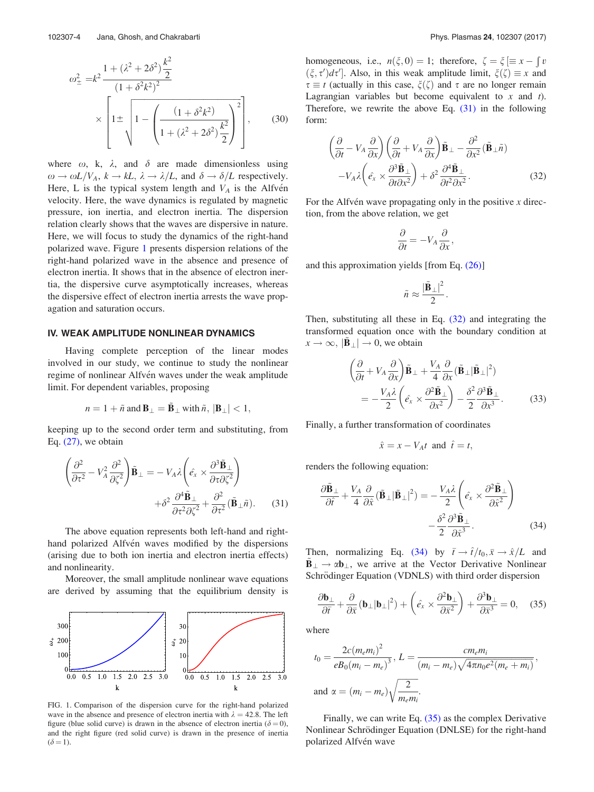$$
\omega_{\pm}^{2} = k^{2} \frac{1 + (\lambda^{2} + 2\delta^{2}) \frac{k^{2}}{2}}{(1 + \delta^{2}k^{2})^{2}}
$$

$$
\times \left[1 \pm \sqrt{1 - \left(\frac{(1 + \delta^{2}k^{2})}{1 + (\lambda^{2} + 2\delta^{2}) \frac{k^{2}}{2}}\right)^{2}}\right],
$$
(30)

where  $\omega$ , k,  $\lambda$ , and  $\delta$  are made dimensionless using  $\omega \to \omega L/V_A$ ,  $k \to kL$ ,  $\lambda \to \lambda/L$ , and  $\delta \to \delta/L$  respectively. Here, L is the typical system length and  $V_A$  is the Alfven velocity. Here, the wave dynamics is regulated by magnetic pressure, ion inertia, and electron inertia. The dispersion relation clearly shows that the waves are dispersive in nature. Here, we will focus to study the dynamics of the right-hand polarized wave. Figure 1 presents dispersion relations of the right-hand polarized wave in the absence and presence of electron inertia. It shows that in the absence of electron inertia, the dispersive curve asymptotically increases, whereas the dispersive effect of electron inertia arrests the wave propagation and saturation occurs.

# IV. WEAK AMPLITUDE NONLINEAR DYNAMICS

Having complete perception of the linear modes involved in our study, we continue to study the nonlinear regime of nonlinear Alfvén waves under the weak amplitude limit. For dependent variables, proposing

$$
n = 1 + \tilde{n} \text{ and } \mathbf{B}_{\perp} = \tilde{\mathbf{B}}_{\perp} \text{ with } \tilde{n}, \, |\mathbf{B}_{\perp}| < 1,
$$

keeping up to the second order term and substituting, from Eq.  $(27)$ , we obtain

$$
\left(\frac{\partial^2}{\partial \tau^2} - V_A^2 \frac{\partial^2}{\partial \zeta^2}\right) \tilde{\mathbf{B}}_{\perp} = -V_A \lambda \left(\hat{e_x} \times \frac{\partial^3 \tilde{\mathbf{B}}_{\perp}}{\partial \tau \partial \zeta^2}\right) + \delta^2 \frac{\partial^4 \tilde{\mathbf{B}}_{\perp}}{\partial \tau^2 \partial \zeta^2} + \frac{\partial^2}{\partial \tau^2} (\tilde{\mathbf{B}}_{\perp} \tilde{n}).
$$
 (31)

The above equation represents both left-hand and righthand polarized Alfvén waves modified by the dispersions (arising due to both ion inertia and electron inertia effects) and nonlinearity.

Moreover, the small amplitude nonlinear wave equations are derived by assuming that the equilibrium density is



FIG. 1. Comparison of the dispersion curve for the right-hand polarized wave in the absence and presence of electron inertia with  $\lambda = 42.8$ . The left figure (blue solid curve) is drawn in the absence of electron inertia ( $\delta = 0$ ), and the right figure (red solid curve) is drawn in the presence of inertia  $(\delta = 1)$ .

homogeneous, i.e.,  $n(\xi, 0) = 1$ ; therefore,  $\zeta = \xi \equiv x - \int x^2 dx$  $(\xi, \tau')d\tau'$ . Also, in this weak amplitude limit,  $\xi(\zeta) \equiv x$  and  $\tau \equiv t$  (actually in this case,  $\xi(\zeta)$  and  $\tau$  are no longer remain Lagrangian variables but become equivalent to  $x$  and  $t$ ). Therefore, we rewrite the above Eq. (31) in the following form:

$$
\left(\frac{\partial}{\partial t} - V_A \frac{\partial}{\partial x}\right) \left(\frac{\partial}{\partial t} + V_A \frac{\partial}{\partial x}\right) \tilde{\mathbf{B}}_{\perp} - \frac{\partial^2}{\partial x^2} (\tilde{\mathbf{B}}_{\perp} \tilde{n}) \n- V_A \lambda \left(\hat{e}_x \times \frac{\partial^3 \tilde{\mathbf{B}}_{\perp}}{\partial t \partial x^2}\right) + \delta^2 \frac{\partial^4 \tilde{\mathbf{B}}_{\perp}}{\partial t^2 \partial x^2}.
$$
\n(32)

For the Alfvén wave propagating only in the positive  $x$  direction, from the above relation, we get

$$
\frac{\partial}{\partial t} = -V_A \frac{\partial}{\partial x},
$$

and this approximation yields [from Eq. (26)]

$$
\tilde{n} \approx \frac{|\tilde{\mathbf{B}}_{\perp}|^2}{2}.
$$

Then, substituting all these in Eq. (32) and integrating the transformed equation once with the boundary condition at  $x \to \infty$ ,  $|\mathbf{B}_{\perp}| \to 0$ , we obtain

$$
\left(\frac{\partial}{\partial t} + V_A \frac{\partial}{\partial x}\right) \tilde{\mathbf{B}}_{\perp} + \frac{V_A}{4} \frac{\partial}{\partial x} (\tilde{\mathbf{B}}_{\perp} | \tilde{\mathbf{B}}_{\perp} |^2) \n= -\frac{V_A \lambda}{2} \left(\hat{e}_x \times \frac{\partial^2 \tilde{\mathbf{B}}_{\perp}}{\partial x^2}\right) - \frac{\delta^2}{2} \frac{\partial^3 \tilde{\mathbf{B}}_{\perp}}{\partial x^3}.
$$
\n(33)

Finally, a further transformation of coordinates

$$
\hat{x} = x - V_A t \text{ and } \hat{t} = t,
$$

renders the following equation:

$$
\frac{\partial \tilde{\mathbf{B}}_{\perp}}{\partial \hat{t}} + \frac{V_A}{4} \frac{\partial}{\partial \hat{x}} (\tilde{\mathbf{B}}_{\perp} | \tilde{\mathbf{B}}_{\perp} |^2) = -\frac{V_A \lambda}{2} \left( \hat{e}_x \times \frac{\partial^2 \tilde{\mathbf{B}}_{\perp}}{\partial \hat{x}^2} \right) -\frac{\delta^2}{2} \frac{\partial^3 \tilde{\mathbf{B}}_{\perp}}{\partial \hat{x}^3}.
$$
 (34)

Then, normalizing Eq. (34) by  $\bar{t} \rightarrow \hat{t}/t_0$ ,  $\bar{x} \rightarrow \hat{x}/L$  and  $B_{\perp} \rightarrow \alpha b_{\perp}$ , we arrive at the Vector Derivative Nonlinear Schrödinger Equation (VDNLS) with third order dispersion

$$
\frac{\partial \mathbf{b}_{\perp}}{\partial \bar{t}} + \frac{\partial}{\partial \bar{x}} (\mathbf{b}_{\perp} |\mathbf{b}_{\perp}|^2) + \left( \hat{e}_x \times \frac{\partial^2 \mathbf{b}_{\perp}}{\partial \bar{x}^2} \right) + \frac{\partial^3 \mathbf{b}_{\perp}}{\partial \bar{x}^3} = 0, \quad (35)
$$

where

$$
t_0 = \frac{2c(m_e m_i)^2}{eB_0(m_i - m_e)^3}, L = \frac{cm_e m_i}{(m_i - m_e)\sqrt{4\pi n_0 e^2(m_e + m_i)}},
$$
  
and  $\alpha = (m_i - m_e)\sqrt{\frac{2}{m_e m_i}}.$ 

Finally, we can write Eq. (35) as the complex Derivative Nonlinear Schrödinger Equation (DNLSE) for the right-hand polarized Alfvén wave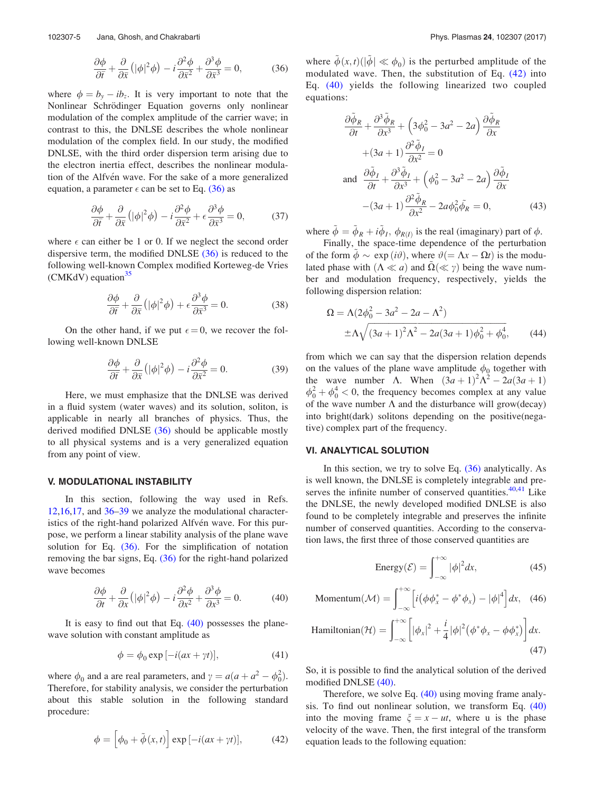$$
\frac{\partial \phi}{\partial \bar{t}} + \frac{\partial}{\partial \bar{x}} \left( |\phi|^2 \phi \right) - i \frac{\partial^2 \phi}{\partial \bar{x}^2} + \frac{\partial^3 \phi}{\partial \bar{x}^3} = 0, \tag{36}
$$

where  $\phi = b_y - ib_z$ . It is very important to note that the Nonlinear Schrödinger Equation governs only nonlinear modulation of the complex amplitude of the carrier wave; in contrast to this, the DNLSE describes the whole nonlinear modulation of the complex field. In our study, the modified DNLSE, with the third order dispersion term arising due to the electron inertia effect, describes the nonlinear modulation of the Alfvén wave. For the sake of a more generalized equation, a parameter  $\epsilon$  can be set to Eq. (36) as

$$
\frac{\partial \phi}{\partial \bar{t}} + \frac{\partial}{\partial \bar{x}} \left( |\phi|^2 \phi \right) - i \frac{\partial^2 \phi}{\partial \bar{x}^2} + \epsilon \frac{\partial^3 \phi}{\partial \bar{x}^3} = 0, \tag{37}
$$

where  $\epsilon$  can either be 1 or 0. If we neglect the second order dispersive term, the modified DNLSE (36) is reduced to the following well-known Complex modified Korteweg-de Vries (CMKdV) equation $35$ 

$$
\frac{\partial \phi}{\partial \bar{t}} + \frac{\partial}{\partial \bar{x}} \left( |\phi|^2 \phi \right) + \epsilon \frac{\partial^3 \phi}{\partial \bar{x}^3} = 0. \tag{38}
$$

On the other hand, if we put  $\epsilon = 0$ , we recover the following well-known DNLSE

$$
\frac{\partial \phi}{\partial \bar{t}} + \frac{\partial}{\partial \bar{x}} \left( |\phi|^2 \phi \right) - i \frac{\partial^2 \phi}{\partial \bar{x}^2} = 0. \tag{39}
$$

Here, we must emphasize that the DNLSE was derived in a fluid system (water waves) and its solution, soliton, is applicable in nearly all branches of physics. Thus, the derived modified DNLSE (36) should be applicable mostly to all physical systems and is a very generalized equation from any point of view.

# V. MODULATIONAL INSTABILITY

In this section, following the way used in Refs. 12,16,17, and 36–39 we analyze the modulational characteristics of the right-hand polarized Alfvén wave. For this purpose, we perform a linear stability analysis of the plane wave solution for Eq. (36). For the simplification of notation removing the bar signs, Eq.  $(36)$  for the right-hand polarized wave becomes

$$
\frac{\partial \phi}{\partial t} + \frac{\partial}{\partial x} \left( |\phi|^2 \phi \right) - i \frac{\partial^2 \phi}{\partial x^2} + \frac{\partial^3 \phi}{\partial x^3} = 0. \tag{40}
$$

It is easy to find out that Eq. (40) possesses the planewave solution with constant amplitude as

$$
\phi = \phi_0 \exp[-i(ax + \gamma t)],\tag{41}
$$

where  $\phi_0$  and a are real parameters, and  $\gamma = a(a + a^2 - \phi_0^2)$ . Therefore, for stability analysis, we consider the perturbation about this stable solution in the following standard procedure:

$$
\phi = \left[\phi_0 + \tilde{\phi}(x, t)\right] \exp\left[-i(ax + \gamma t)\right],\tag{42}
$$

where  $\tilde{\phi}(x, t) \left( |\tilde{\phi}| \ll \phi_0 \right)$  is the perturbed amplitude of the modulated wave. Then, the substitution of Eq. (42) into Eq. (40) yields the following linearized two coupled equations:

$$
\frac{\partial \tilde{\phi}_R}{\partial t} + \frac{\partial^3 \tilde{\phi}_R}{\partial x^3} + \left(3\phi_0^2 - 3a^2 - 2a\right) \frac{\partial \tilde{\phi}_R}{\partial x} \n+ (3a + 1) \frac{\partial^2 \tilde{\phi}_I}{\partial x^2} = 0 \n\text{and } \frac{\partial \tilde{\phi}_I}{\partial t} + \frac{\partial^3 \tilde{\phi}_I}{\partial x^3} + \left(\phi_0^2 - 3a^2 - 2a\right) \frac{\partial \tilde{\phi}_I}{\partial x} \n- (3a + 1) \frac{\partial^2 \tilde{\phi}_R}{\partial x^2} - 2a\phi_0^2 \tilde{\phi}_R = 0,
$$
\n(43)

where  $\tilde{\phi} = \tilde{\phi}_R + i \tilde{\phi}_I$ ,  $\phi_{R(I)}$  is the real (imaginary) part of  $\phi$ .

Finally, the space-time dependence of the perturbation of the form  $\phi \sim \exp(i\vartheta)$ , where  $\vartheta = \Lambda x - \Omega t$  is the modulated phase with  $(\Lambda \ll a)$  and  $\Omega(\ll \gamma)$  being the wave number and modulation frequency, respectively, yields the following dispersion relation:

$$
\Omega = \Lambda (2\phi_0^2 - 3a^2 - 2a - \Lambda^2)
$$
  
 
$$
\pm \Lambda \sqrt{(3a+1)^2 \Lambda^2 - 2a(3a+1)\phi_0^2 + \phi_0^4},
$$
 (44)

from which we can say that the dispersion relation depends on the values of the plane wave amplitude  $\phi_0$  together with the wave number  $\Lambda$ . When  $(3a+1)^2\Lambda^2 - 2a(3a+1)$  $\phi_0^2 + \phi_0^4 < 0$ , the frequency becomes complex at any value of the wave number  $\Lambda$  and the disturbance will grow(decay) into bright(dark) solitons depending on the positive(negative) complex part of the frequency.

#### VI. ANALYTICAL SOLUTION

In this section, we try to solve Eq.  $(36)$  analytically. As is well known, the DNLSE is completely integrable and preserves the infinite number of conserved quantities. $40,41$  Like the DNLSE, the newly developed modified DNLSE is also found to be completely integrable and preserves the infinite number of conserved quantities. According to the conservation laws, the first three of those conserved quantities are

Energy
$$
Energy(\mathcal{E}) = \int_{-\infty}^{+\infty} |\phi|^2 dx,
$$
 (45)

$$
\text{Momentum}(\mathcal{M}) = \int_{-\infty}^{+\infty} \left[ i \left( \phi \phi_x^* - \phi^* \phi_x \right) - |\phi|^4 \right] dx, \quad (46)
$$
\n
$$
\text{Hamiltonian}(\mathcal{H}) = \int_{-\infty}^{+\infty} \left[ |\phi_x|^2 + \frac{i}{4} |\phi|^2 \left( \phi^* \phi_x - \phi \phi_x^* \right) \right] dx. \quad (47)
$$

So, it is possible to find the analytical solution of the derived modified DNLSE (40).

Therefore, we solve Eq. (40) using moving frame analysis. To find out nonlinear solution, we transform Eq. (40) into the moving frame  $\xi = x - ut$ , where u is the phase velocity of the wave. Then, the first integral of the transform equation leads to the following equation: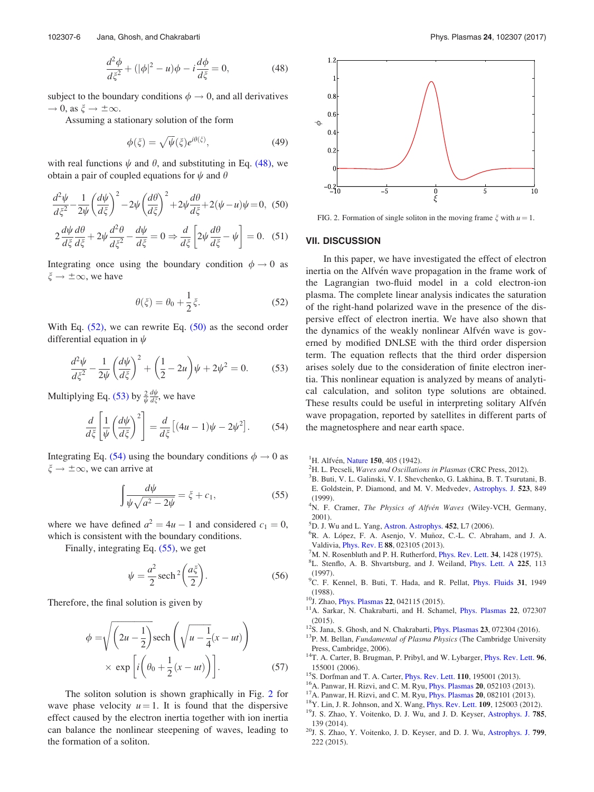$$
\frac{d^2\phi}{d\xi^2} + (|\phi|^2 - u)\phi - i\frac{d\phi}{d\xi} = 0,
$$
\n(48)

subject to the boundary conditions  $\phi \rightarrow 0$ , and all derivatives  $\to 0$ , as  $\xi \to \pm \infty$ .

Assuming a stationary solution of the form

$$
\phi(\xi) = \sqrt{\psi}(\xi)e^{i\theta(\xi)},\tag{49}
$$

with real functions  $\psi$  and  $\theta$ , and substituting in Eq. (48), we obtain a pair of coupled equations for  $\psi$  and  $\theta$ 

$$
\frac{d^2\psi}{d\xi^2} - \frac{1}{2\psi} \left(\frac{d\psi}{d\xi}\right)^2 - 2\psi \left(\frac{d\theta}{d\xi}\right)^2 + 2\psi \frac{d\theta}{d\xi} + 2(\psi - u)\psi = 0, (50)
$$
  

$$
2\frac{d\psi}{d\xi}\frac{d\theta}{d\xi} + 2\psi \frac{d^2\theta}{d\xi^2} - \frac{d\psi}{d\xi} = 0 \Rightarrow \frac{d}{d\xi} \left[2\psi \frac{d\theta}{d\xi} - \psi\right] = 0. (51)
$$

Integrating once using the boundary condition  $\phi \rightarrow 0$  as  $\xi \to \pm \infty$ , we have

$$
\theta(\xi) = \theta_0 + \frac{1}{2}\xi. \tag{52}
$$

With Eq.  $(52)$ , we can rewrite Eq.  $(50)$  as the second order differential equation in  $\psi$ 

$$
\frac{d^2\psi}{d\xi^2} - \frac{1}{2\psi} \left(\frac{d\psi}{d\xi}\right)^2 + \left(\frac{1}{2} - 2u\right)\psi + 2\psi^2 = 0.
$$
 (53)

Multiplying Eq. (53) by  $\frac{2}{\psi} \frac{d\psi}{d\xi}$ , we have

$$
\frac{d}{d\zeta} \left[ \frac{1}{\psi} \left( \frac{d\psi}{d\zeta} \right)^2 \right] = \frac{d}{d\zeta} \left[ (4u - 1)\psi - 2\psi^2 \right].
$$
 (54)

Integrating Eq. (54) using the boundary conditions  $\phi \rightarrow 0$  as  $\xi \rightarrow \pm \infty$ , we can arrive at

$$
\int \frac{d\psi}{\psi\sqrt{a^2 - 2\psi}} = \xi + c_1,\tag{55}
$$

where we have defined  $a^2 = 4u - 1$  and considered  $c_1 = 0$ , which is consistent with the boundary conditions.

Finally, integrating Eq. (55), we get

$$
\psi = \frac{a^2}{2} \operatorname{sech}^2\left(\frac{a\xi}{2}\right). \tag{56}
$$

Therefore, the final solution is given by

$$
\phi = \sqrt{\left(2u - \frac{1}{2}\right)} \operatorname{sech}\left(\sqrt{u - \frac{1}{4}}(x - ut)\right)
$$

$$
\times \exp\left[i\left(\theta_0 + \frac{1}{2}(x - ut)\right)\right].
$$
 (57)

The soliton solution is shown graphically in Fig. 2 for wave phase velocity  $u = 1$ . It is found that the dispersive effect caused by the electron inertia together with ion inertia can balance the nonlinear steepening of waves, leading to the formation of a soliton.



FIG. 2. Formation of single soliton in the moving frame  $\xi$  with  $u = 1$ .

### VII. DISCUSSION

In this paper, we have investigated the effect of electron inertia on the Alfvén wave propagation in the frame work of the Lagrangian two-fluid model in a cold electron-ion plasma. The complete linear analysis indicates the saturation of the right-hand polarized wave in the presence of the dispersive effect of electron inertia. We have also shown that the dynamics of the weakly nonlinear Alfvén wave is governed by modified DNLSE with the third order dispersion term. The equation reflects that the third order dispersion arises solely due to the consideration of finite electron inertia. This nonlinear equation is analyzed by means of analytical calculation, and soliton type solutions are obtained. These results could be useful in interpreting solitary Alfvén wave propagation, reported by satellites in different parts of the magnetosphere and near earth space.

- <sup>1</sup>H. Alfvén, Nature 150, 405 (1942).
- ${}^{2}$ H. L. Pecseli, Waves and Oscillations in Plasmas (CRC Press, 2012).
- <sup>3</sup>B. Buti, V. L. Galinski, V. I. Shevchenko, G. Lakhina, B. T. Tsurutani, B. E. Goldstein, P. Diamond, and M. V. Medvedev, Astrophys. J. 523, 849 (1999).
- <sup>4</sup>N. F. Cramer, The Physics of Alfvén Waves (Wiley-VCH, Germany, 2001).
- <sup>5</sup>D. J. Wu and L. Yang, Astron. Astrophys. 452, L7 (2006).
- <sup>6</sup>R. A. López, F. A. Asenjo, V. Muñoz, C.-L. C. Abraham, and J. A. Valdivia, Phys. Rev. E 88, 023105 (2013).
- $^{7}$ M. N. Rosenbluth and P. H. Rutherford, *Phys. Rev. Lett.* 34, 1428 (1975).
- <sup>8</sup>L. Stenflo, A. B. Shvartsburg, and J. Weiland, *Phys. Lett. A* 225, 113 (1997).
- <sup>9</sup>C. F. Kennel, B. Buti, T. Hada, and R. Pellat, *Phys. Fluids* 31, 1949 (1988).
- <sup>10</sup>J. Zhao, *Phys. Plasmas* **22**, 042115 (2015).
- <sup>11</sup>A. Sarkar, N. Chakrabarti, and H. Schamel, *Phys. Plasmas* 22, 072307 (2015).
- $12$ S. Jana, S. Ghosh, and N. Chakrabarti, *Phys. Plasmas* 23, 072304 (2016).
- $13P$ . M. Bellan, Fundamental of Plasma Physics (The Cambridge University Press, Cambridge, 2006).
- <sup>14</sup>T. A. Carter, B. Brugman, P. Pribyl, and W. Lybarger, *Phys. Rev. Lett.* 96, 155001 (2006).
- <sup>15</sup>S. Dorfman and T. A. Carter, *Phys. Rev. Lett.* **110**, 195001 (2013).
- <sup>16</sup>A. Panwar, H. Rizvi, and C. M. Ryu, *Phys. Plasmas* **20**, 052103 (2013).
- $17A$ . Panwar, H. Rizvi, and C. M. Ryu, *Phys. Plasmas* 20, 082101 (2013).
- <sup>18</sup>Y. Lin, J. R. Johnson, and X. Wang, Phys. Rev. Lett. 109, 125003 (2012).
- <sup>19</sup>J. S. Zhao, Y. Voitenko, D. J. Wu, and J. D. Keyser, Astrophys. J. 785, 139 (2014).
- <sup>20</sup>J. S. Zhao, Y. Voitenko, J. D. Keyser, and D. J. Wu, Astrophys. J. 799, 222 (2015).